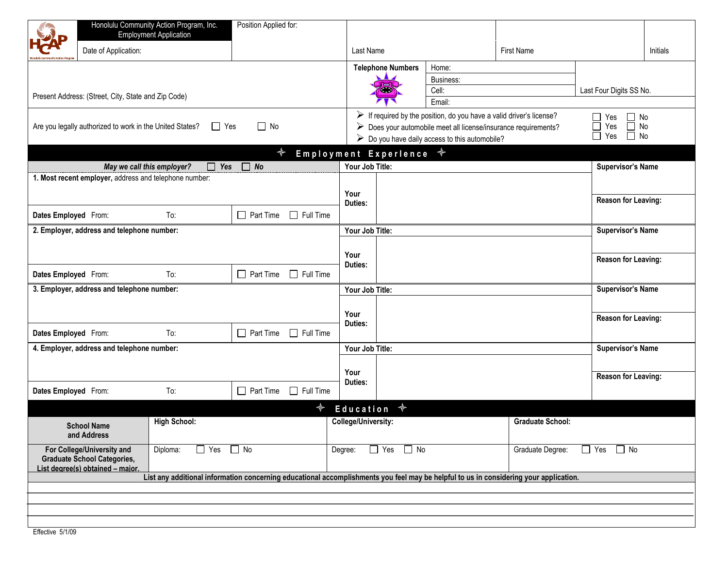|                                                                                                      | Honolulu Community Action Program, Inc.<br><b>Employment Application</b>                                                                                                                                                               | Position Applied for:                                                                                  |                          |                               |                         |                          |                         |  |  |  |  |  |
|------------------------------------------------------------------------------------------------------|----------------------------------------------------------------------------------------------------------------------------------------------------------------------------------------------------------------------------------------|--------------------------------------------------------------------------------------------------------|--------------------------|-------------------------------|-------------------------|--------------------------|-------------------------|--|--|--|--|--|
| Date of Application:                                                                                 |                                                                                                                                                                                                                                        |                                                                                                        | Last Name                |                               | <b>First Name</b>       |                          | <b>Initials</b>         |  |  |  |  |  |
| Present Address: (Street, City, State and Zip Code)                                                  | <b>Telephone Numbers</b>                                                                                                                                                                                                               | Home:<br>Business:<br>Cell:<br>Email:                                                                  |                          | Last Four Digits SS No.       |                         |                          |                         |  |  |  |  |  |
| Are you legally authorized to work in the United States?                                             | $\triangleright$ If required by the position, do you have a valid driver's license?<br>$\triangleright$ Does your automobile meet all license/insurance requirements?<br>$\triangleright$ Do you have daily access to this automobile? | $\Box$ No<br>$\Box$ Yes<br>$\overline{\Box}$ No<br>$\Box$<br>Yes<br>$\overline{\Box}$ Yes<br>$\Box$ No |                          |                               |                         |                          |                         |  |  |  |  |  |
|                                                                                                      |                                                                                                                                                                                                                                        | $\clubsuit$                                                                                            | Employment Experience +  |                               |                         |                          |                         |  |  |  |  |  |
|                                                                                                      | May we call this employer?<br>$\Box$ Yes                                                                                                                                                                                               | $\Box$ No                                                                                              | Your Job Title:          |                               |                         | <b>Supervisor's Name</b> |                         |  |  |  |  |  |
| 1. Most recent employer, address and telephone number:                                               | Your<br>Duties:                                                                                                                                                                                                                        |                                                                                                        | Reason for Leaving:      |                               |                         |                          |                         |  |  |  |  |  |
| Dates Employed From:                                                                                 | To:                                                                                                                                                                                                                                    | $\Box$ Part Time<br>$\Box$ Full Time                                                                   |                          |                               |                         |                          |                         |  |  |  |  |  |
| 2. Employer, address and telephone number:                                                           |                                                                                                                                                                                                                                        |                                                                                                        | Your Job Title:          |                               |                         | <b>Supervisor's Name</b> |                         |  |  |  |  |  |
|                                                                                                      |                                                                                                                                                                                                                                        |                                                                                                        |                          |                               |                         |                          |                         |  |  |  |  |  |
|                                                                                                      |                                                                                                                                                                                                                                        |                                                                                                        | Your<br>Duties:          |                               |                         | Reason for Leaving:      |                         |  |  |  |  |  |
| Dates Employed From:                                                                                 | To:                                                                                                                                                                                                                                    | $\Box$ Part Time<br>$\Box$ Full Time                                                                   |                          |                               |                         |                          |                         |  |  |  |  |  |
| 3. Employer, address and telephone number:                                                           |                                                                                                                                                                                                                                        |                                                                                                        | Your Job Title:          |                               |                         | <b>Supervisor's Name</b> |                         |  |  |  |  |  |
|                                                                                                      |                                                                                                                                                                                                                                        |                                                                                                        | Your                     |                               |                         |                          |                         |  |  |  |  |  |
| Dates Employed From:                                                                                 | To:                                                                                                                                                                                                                                    | $\Box$ Part Time<br>$\Box$ Full Time                                                                   | Duties:                  |                               |                         | Reason for Leaving:      |                         |  |  |  |  |  |
| 4. Employer, address and telephone number:                                                           | Your Job Title:                                                                                                                                                                                                                        |                                                                                                        |                          | <b>Supervisor's Name</b>      |                         |                          |                         |  |  |  |  |  |
|                                                                                                      |                                                                                                                                                                                                                                        |                                                                                                        |                          |                               |                         |                          |                         |  |  |  |  |  |
|                                                                                                      |                                                                                                                                                                                                                                        |                                                                                                        | Your                     |                               |                         | Reason for Leaving:      |                         |  |  |  |  |  |
| Dates Employed From:                                                                                 | To:                                                                                                                                                                                                                                    | $\Box$ Full Time<br>$\Box$ Part Time                                                                   | Duties:                  |                               |                         |                          |                         |  |  |  |  |  |
|                                                                                                      |                                                                                                                                                                                                                                        | ✦                                                                                                      | $\clubsuit$<br>Education |                               |                         |                          |                         |  |  |  |  |  |
| <b>School Name</b><br>and Address                                                                    | <b>High School:</b>                                                                                                                                                                                                                    |                                                                                                        | College/University:      |                               | <b>Graduate School:</b> |                          |                         |  |  |  |  |  |
| For College/University and<br><b>Graduate School Categories,</b><br>List degree(s) obtained - major. | $\Box$ Yes<br>Diploma:                                                                                                                                                                                                                 | $\Box$ No                                                                                              | $\Box$ Yes<br>Degree:    | $\Box$ No<br>Graduate Degree: |                         |                          | $\Box$ Yes<br>$\Box$ No |  |  |  |  |  |
|                                                                                                      | List any additional information concerning educational accomplishments you feel may be helpful to us in considering your application.                                                                                                  |                                                                                                        |                          |                               |                         |                          |                         |  |  |  |  |  |
|                                                                                                      |                                                                                                                                                                                                                                        |                                                                                                        |                          |                               |                         |                          |                         |  |  |  |  |  |
|                                                                                                      |                                                                                                                                                                                                                                        |                                                                                                        |                          |                               |                         |                          |                         |  |  |  |  |  |
| $\Gamma$ <i>if</i> $\Gamma$ $\Gamma$ $\Gamma$ $\Gamma$ $\Gamma$ $\Gamma$                             |                                                                                                                                                                                                                                        |                                                                                                        |                          |                               |                         |                          |                         |  |  |  |  |  |